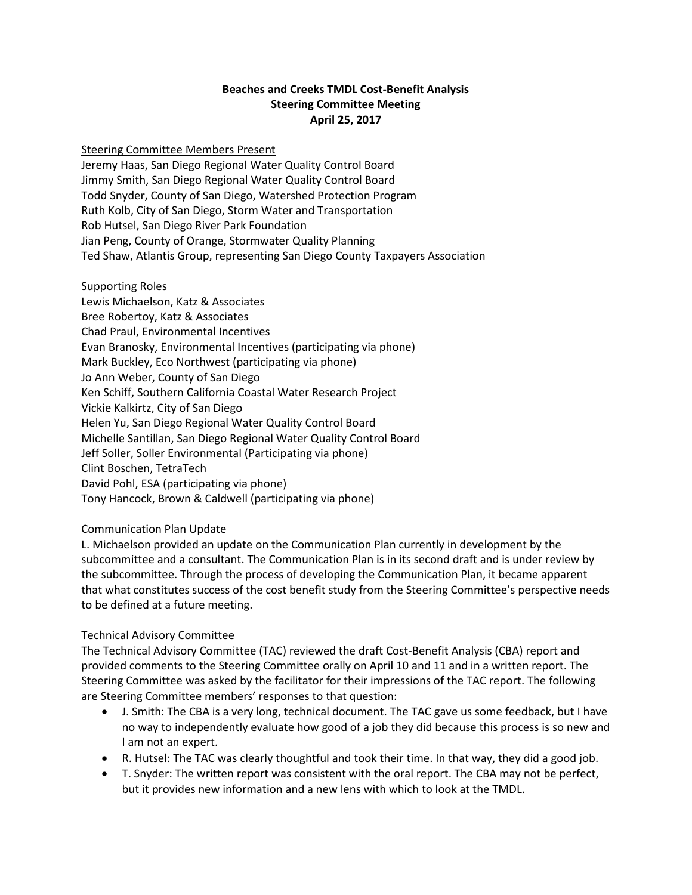### **Beaches and Creeks TMDL Cost-Benefit Analysis Steering Committee Meeting April 25, 2017**

### Steering Committee Members Present

Jeremy Haas, San Diego Regional Water Quality Control Board Jimmy Smith, San Diego Regional Water Quality Control Board Todd Snyder, County of San Diego, Watershed Protection Program Ruth Kolb, City of San Diego, Storm Water and Transportation Rob Hutsel, San Diego River Park Foundation Jian Peng, County of Orange, Stormwater Quality Planning Ted Shaw, Atlantis Group, representing San Diego County Taxpayers Association

#### Supporting Roles

Lewis Michaelson, Katz & Associates Bree Robertoy, Katz & Associates Chad Praul, Environmental Incentives Evan Branosky, Environmental Incentives (participating via phone) Mark Buckley, Eco Northwest (participating via phone) Jo Ann Weber, County of San Diego Ken Schiff, Southern California Coastal Water Research Project Vickie Kalkirtz, City of San Diego Helen Yu, San Diego Regional Water Quality Control Board Michelle Santillan, San Diego Regional Water Quality Control Board Jeff Soller, Soller Environmental (Participating via phone) Clint Boschen, TetraTech David Pohl, ESA (participating via phone) Tony Hancock, Brown & Caldwell (participating via phone)

### Communication Plan Update

L. Michaelson provided an update on the Communication Plan currently in development by the subcommittee and a consultant. The Communication Plan is in its second draft and is under review by the subcommittee. Through the process of developing the Communication Plan, it became apparent that what constitutes success of the cost benefit study from the Steering Committee's perspective needs to be defined at a future meeting.

### Technical Advisory Committee

The Technical Advisory Committee (TAC) reviewed the draft Cost-Benefit Analysis (CBA) report and provided comments to the Steering Committee orally on April 10 and 11 and in a written report. The Steering Committee was asked by the facilitator for their impressions of the TAC report. The following are Steering Committee members' responses to that question:

- J. Smith: The CBA is a very long, technical document. The TAC gave us some feedback, but I have no way to independently evaluate how good of a job they did because this process is so new and I am not an expert.
- R. Hutsel: The TAC was clearly thoughtful and took their time. In that way, they did a good job.
- T. Snyder: The written report was consistent with the oral report. The CBA may not be perfect, but it provides new information and a new lens with which to look at the TMDL.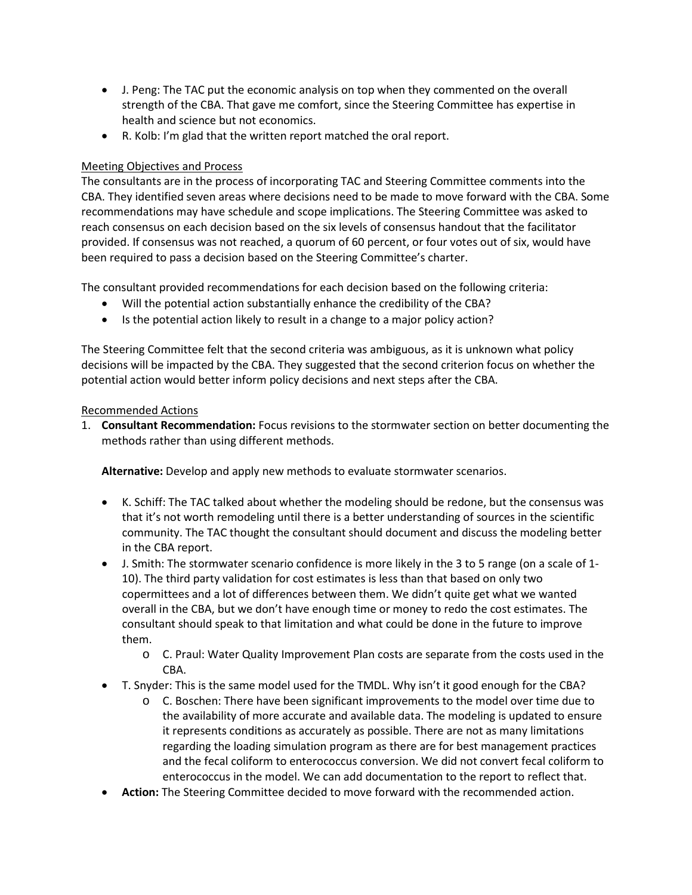- J. Peng: The TAC put the economic analysis on top when they commented on the overall strength of the CBA. That gave me comfort, since the Steering Committee has expertise in health and science but not economics.
- R. Kolb: I'm glad that the written report matched the oral report.

# Meeting Objectives and Process

The consultants are in the process of incorporating TAC and Steering Committee comments into the CBA. They identified seven areas where decisions need to be made to move forward with the CBA. Some recommendations may have schedule and scope implications. The Steering Committee was asked to reach consensus on each decision based on the six levels of consensus handout that the facilitator provided. If consensus was not reached, a quorum of 60 percent, or four votes out of six, would have been required to pass a decision based on the Steering Committee's charter.

The consultant provided recommendations for each decision based on the following criteria:

- Will the potential action substantially enhance the credibility of the CBA?
- Is the potential action likely to result in a change to a major policy action?

The Steering Committee felt that the second criteria was ambiguous, as it is unknown what policy decisions will be impacted by the CBA. They suggested that the second criterion focus on whether the potential action would better inform policy decisions and next steps after the CBA.

## Recommended Actions

1. **Consultant Recommendation:** Focus revisions to the stormwater section on better documenting the methods rather than using different methods.

**Alternative:** Develop and apply new methods to evaluate stormwater scenarios.

- K. Schiff: The TAC talked about whether the modeling should be redone, but the consensus was that it's not worth remodeling until there is a better understanding of sources in the scientific community. The TAC thought the consultant should document and discuss the modeling better in the CBA report.
- J. Smith: The stormwater scenario confidence is more likely in the 3 to 5 range (on a scale of 1- 10). The third party validation for cost estimates is less than that based on only two copermittees and a lot of differences between them. We didn't quite get what we wanted overall in the CBA, but we don't have enough time or money to redo the cost estimates. The consultant should speak to that limitation and what could be done in the future to improve them.
	- o C. Praul: Water Quality Improvement Plan costs are separate from the costs used in the CBA.
- T. Snyder: This is the same model used for the TMDL. Why isn't it good enough for the CBA?
	- $\circ$  C. Boschen: There have been significant improvements to the model over time due to the availability of more accurate and available data. The modeling is updated to ensure it represents conditions as accurately as possible. There are not as many limitations regarding the loading simulation program as there are for best management practices and the fecal coliform to enterococcus conversion. We did not convert fecal coliform to enterococcus in the model. We can add documentation to the report to reflect that.
- **Action:** The Steering Committee decided to move forward with the recommended action.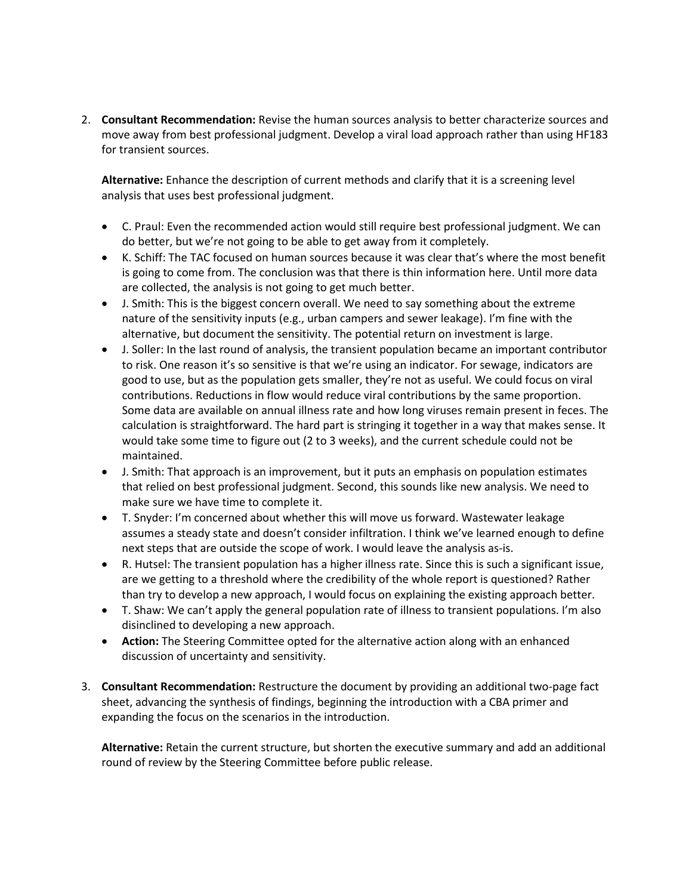2. **Consultant Recommendation:** Revise the human sources analysis to better characterize sources and move away from best professional judgment. Develop a viral load approach rather than using HF183 for transient sources.

**Alternative:** Enhance the description of current methods and clarify that it is a screening level analysis that uses best professional judgment.

- C. Praul: Even the recommended action would still require best professional judgment. We can do better, but we're not going to be able to get away from it completely.
- K. Schiff: The TAC focused on human sources because it was clear that's where the most benefit is going to come from. The conclusion was that there is thin information here. Until more data are collected, the analysis is not going to get much better.
- J. Smith: This is the biggest concern overall. We need to say something about the extreme nature of the sensitivity inputs (e.g., urban campers and sewer leakage). I'm fine with the alternative, but document the sensitivity. The potential return on investment is large.
- J. Soller: In the last round of analysis, the transient population became an important contributor to risk. One reason it's so sensitive is that we're using an indicator. For sewage, indicators are good to use, but as the population gets smaller, they're not as useful. We could focus on viral contributions. Reductions in flow would reduce viral contributions by the same proportion. Some data are available on annual illness rate and how long viruses remain present in feces. The calculation is straightforward. The hard part is stringing it together in a way that makes sense. It would take some time to figure out (2 to 3 weeks), and the current schedule could not be maintained.
- J. Smith: That approach is an improvement, but it puts an emphasis on population estimates that relied on best professional judgment. Second, this sounds like new analysis. We need to make sure we have time to complete it.
- T. Snyder: I'm concerned about whether this will move us forward. Wastewater leakage assumes a steady state and doesn't consider infiltration. I think we've learned enough to define next steps that are outside the scope of work. I would leave the analysis as-is.
- R. Hutsel: The transient population has a higher illness rate. Since this is such a significant issue, are we getting to a threshold where the credibility of the whole report is questioned? Rather than try to develop a new approach, I would focus on explaining the existing approach better.
- T. Shaw: We can't apply the general population rate of illness to transient populations. I'm also disinclined to developing a new approach.
- **Action:** The Steering Committee opted for the alternative action along with an enhanced discussion of uncertainty and sensitivity.
- 3. **Consultant Recommendation:** Restructure the document by providing an additional two-page fact sheet, advancing the synthesis of findings, beginning the introduction with a CBA primer and expanding the focus on the scenarios in the introduction.

**Alternative:** Retain the current structure, but shorten the executive summary and add an additional round of review by the Steering Committee before public release.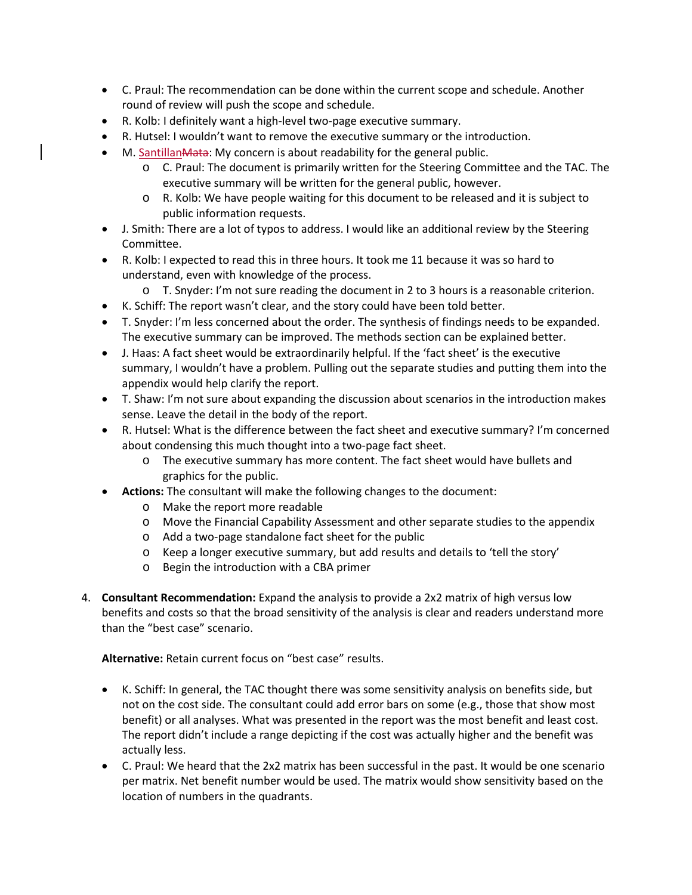- C. Praul: The recommendation can be done within the current scope and schedule. Another round of review will push the scope and schedule.
- R. Kolb: I definitely want a high-level two-page executive summary.
- R. Hutsel: I wouldn't want to remove the executive summary or the introduction.
- M. Santillan Mata: My concern is about readability for the general public.
	- o C. Praul: The document is primarily written for the Steering Committee and the TAC. The executive summary will be written for the general public, however.
	- o R. Kolb: We have people waiting for this document to be released and it is subject to public information requests.
- J. Smith: There are a lot of typos to address. I would like an additional review by the Steering Committee.
- R. Kolb: I expected to read this in three hours. It took me 11 because it was so hard to understand, even with knowledge of the process.
	- o T. Snyder: I'm not sure reading the document in 2 to 3 hours is a reasonable criterion.
- K. Schiff: The report wasn't clear, and the story could have been told better.
- T. Snyder: I'm less concerned about the order. The synthesis of findings needs to be expanded. The executive summary can be improved. The methods section can be explained better.
- J. Haas: A fact sheet would be extraordinarily helpful. If the 'fact sheet' is the executive summary, I wouldn't have a problem. Pulling out the separate studies and putting them into the appendix would help clarify the report.
- T. Shaw: I'm not sure about expanding the discussion about scenarios in the introduction makes sense. Leave the detail in the body of the report.
- R. Hutsel: What is the difference between the fact sheet and executive summary? I'm concerned about condensing this much thought into a two-page fact sheet.
	- o The executive summary has more content. The fact sheet would have bullets and graphics for the public.
- **Actions:** The consultant will make the following changes to the document:
	- o Make the report more readable
	- o Move the Financial Capability Assessment and other separate studies to the appendix
	- o Add a two-page standalone fact sheet for the public
	- o Keep a longer executive summary, but add results and details to 'tell the story'
	- o Begin the introduction with a CBA primer
- 4. **Consultant Recommendation:** Expand the analysis to provide a 2x2 matrix of high versus low benefits and costs so that the broad sensitivity of the analysis is clear and readers understand more than the "best case" scenario.

**Alternative:** Retain current focus on "best case" results.

- K. Schiff: In general, the TAC thought there was some sensitivity analysis on benefits side, but not on the cost side. The consultant could add error bars on some (e.g., those that show most benefit) or all analyses. What was presented in the report was the most benefit and least cost. The report didn't include a range depicting if the cost was actually higher and the benefit was actually less.
- C. Praul: We heard that the 2x2 matrix has been successful in the past. It would be one scenario per matrix. Net benefit number would be used. The matrix would show sensitivity based on the location of numbers in the quadrants.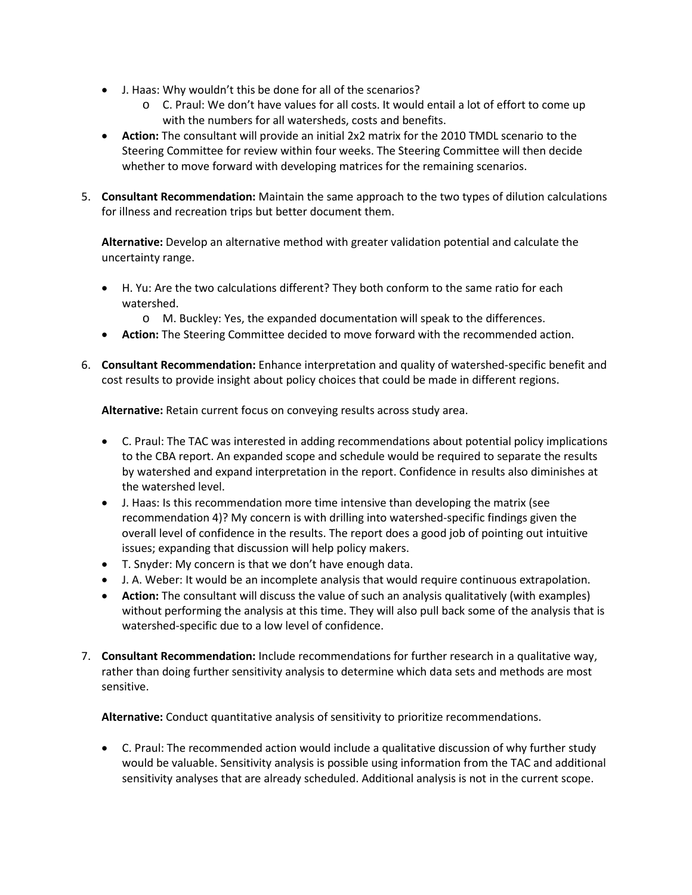- J. Haas: Why wouldn't this be done for all of the scenarios?
	- o C. Praul: We don't have values for all costs. It would entail a lot of effort to come up with the numbers for all watersheds, costs and benefits.
- **Action:** The consultant will provide an initial 2x2 matrix for the 2010 TMDL scenario to the Steering Committee for review within four weeks. The Steering Committee will then decide whether to move forward with developing matrices for the remaining scenarios.
- 5. **Consultant Recommendation:** Maintain the same approach to the two types of dilution calculations for illness and recreation trips but better document them.

**Alternative:** Develop an alternative method with greater validation potential and calculate the uncertainty range.

- H. Yu: Are the two calculations different? They both conform to the same ratio for each watershed.
	- o M. Buckley: Yes, the expanded documentation will speak to the differences.
- **Action:** The Steering Committee decided to move forward with the recommended action.
- 6. **Consultant Recommendation:** Enhance interpretation and quality of watershed-specific benefit and cost results to provide insight about policy choices that could be made in different regions.

**Alternative:** Retain current focus on conveying results across study area.

- C. Praul: The TAC was interested in adding recommendations about potential policy implications to the CBA report. An expanded scope and schedule would be required to separate the results by watershed and expand interpretation in the report. Confidence in results also diminishes at the watershed level.
- J. Haas: Is this recommendation more time intensive than developing the matrix (see recommendation 4)? My concern is with drilling into watershed-specific findings given the overall level of confidence in the results. The report does a good job of pointing out intuitive issues; expanding that discussion will help policy makers.
- T. Snyder: My concern is that we don't have enough data.
- J. A. Weber: It would be an incomplete analysis that would require continuous extrapolation.
- **Action:** The consultant will discuss the value of such an analysis qualitatively (with examples) without performing the analysis at this time. They will also pull back some of the analysis that is watershed-specific due to a low level of confidence.
- 7. **Consultant Recommendation:** Include recommendations for further research in a qualitative way, rather than doing further sensitivity analysis to determine which data sets and methods are most sensitive.

**Alternative:** Conduct quantitative analysis of sensitivity to prioritize recommendations.

• C. Praul: The recommended action would include a qualitative discussion of why further study would be valuable. Sensitivity analysis is possible using information from the TAC and additional sensitivity analyses that are already scheduled. Additional analysis is not in the current scope.